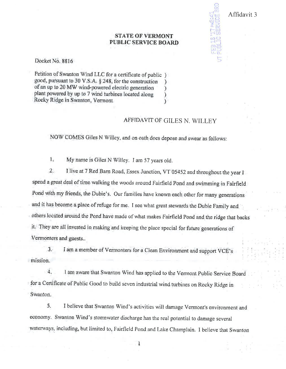## **STATE OF VERMONT PUBLIC SERVICE BOARD**

Docket No. 8816

Petition of Swanton Wind LLC for a certificate of public) good, pursuant to 30 V.S.A. § 248, for the construction  $\lambda$ of an up to 20 MW wind-powered electric generation  $\lambda$ plant powered by up to 7 wind turbines located along  $\lambda$ Rocky Ridge in Swanton, Vermont  $\lambda$ 

## AFFIDAVIT OF GILES N. WILLEY

Affidavit 3

NOW COMES Giles N Willey, and on oath does depose and swear as follows:

 $1.$ My name is Giles N Willey. I am 57 years old.

I live at 7 Red Barn Road, Essex Junction, VT 05452 and throughout the year I  $2.$ spend a great deal of time walking the woods around Fairfield Pond and swimming in Fairfield Pond with my friends, the Dubie's. Our families have known each other for many generations and it has become a place of refuge for me. I see what great stewards the Dubie Family and others located around the Pond have made of what makes Fairfield Pond and the ridge that backs it. They are all invested in making and keeping the place special for future generations of Vermonters and guests..

I am a member of Vermonters for a Clean Environment and support VCE's  $3$ mission.

 $\overline{4}$ . I am aware that Swanton Wind has applied to the Vermont Public Service Board for a Certificate of Public Good to build seven industrial wind turbines on Rocky Ridge in Swanton.

5. I believe that Swanton Wind's activities will damage Vermont's environment and economy. Swanton Wind's stormwater discharge has the real potential to damage several waterways, including, but limited to, Fairfield Pond and Lake Champlain. I believe that Swanton

ł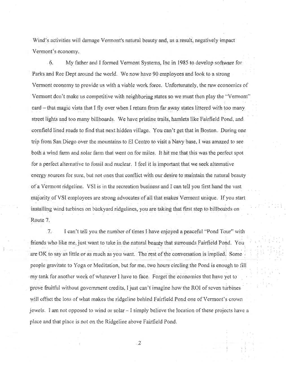Wind's activities will damage Vermont's natural beauty and, as a result, negatively impact Vermont's economy.

6. My father and I formed Vermont Systems, Inc in 1985 to develop software for Parks and Rec Dept around the world. We now have 90 employees and look to a strong Vermont economy to provide us with a viable work force. Unfortunately, the raw economics of Vermont don't make us competitive with neighboring states so we must then play the "Vermont" card – that magic vista that I fly over when I return from far away states littered with too many street lights and too many billboards. We have pristine trails, hamlets like Fairfield Pond, and cornfield lined roads to find that next hidden village. You can't get that in Boston. During one trip from San Diego over the mountains to El Centro to visit a Navy base, I was amazed to see both a wind farm and solar farm that went on for miles. It hit me that this was the perfect spot for a perfect alternative to fossil and nuclear. I feel it is important that we seek alternative energy sources for sure, but not ones that conflict with our desire to maintain the natural beauty of a Vermont ridgeline. VSI is in the recreation business and I can tell you first hand the vast majority of VSI employees are strong advocates of all that makes Vermont unique. If you start installing wind turbines on backyard ridgelines, you are taking that first step to billboards on Route 7.

 $7.$ I can't tell you the number of times I have enjoyed a peaceful "Pond Tour" with friends who like me, just want to take in the natural beauty that surrounds Fairfield Pond. You are OK to say as little or as much as you want. The rest of the conversation is implied. Some people gravitate to Yoga or Meditation, but for me, two hours circling the Pond is enough to fill my tank for another week of whatever I have to face. Forget the economics that have yet to prove fruitful without government credits, I just can't imagine how the ROI of seven turbines will offset the loss of what makes the ridgeline behind Fairfield Pond one of Vermont's crown jewels. I am not opposed to wind or solar  $-1$  simply believe the location of these projects have a place and that place is not on the Ridgeline above Fairfield Pond.

 $\overline{2}$